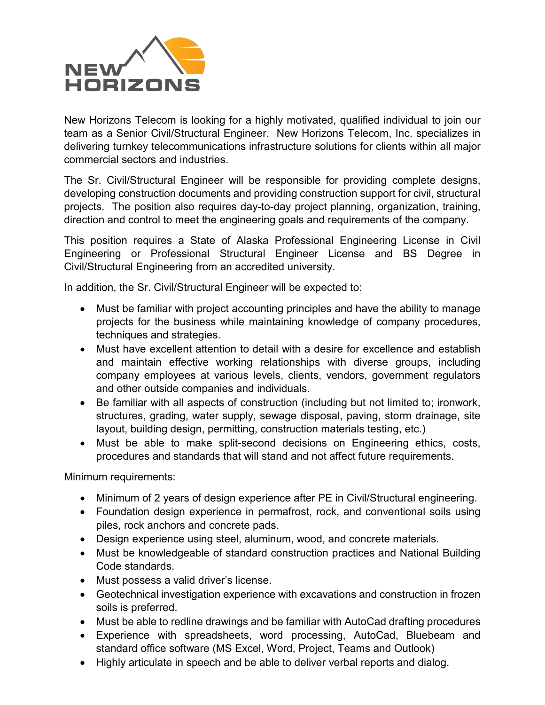

New Horizons Telecom is looking for a highly motivated, qualified individual to join our team as a Senior Civil/Structural Engineer. New Horizons Telecom, Inc. specializes in delivering turnkey telecommunications infrastructure solutions for clients within all major commercial sectors and industries.

The Sr. Civil/Structural Engineer will be responsible for providing complete designs, developing construction documents and providing construction support for civil, structural projects. The position also requires day-to-day project planning, organization, training, direction and control to meet the engineering goals and requirements of the company.

This position requires a State of Alaska Professional Engineering License in Civil Engineering or Professional Structural Engineer License and BS Degree in Civil/Structural Engineering from an accredited university.

In addition, the Sr. Civil/Structural Engineer will be expected to:

- Must be familiar with project accounting principles and have the ability to manage projects for the business while maintaining knowledge of company procedures, techniques and strategies.
- Must have excellent attention to detail with a desire for excellence and establish and maintain effective working relationships with diverse groups, including company employees at various levels, clients, vendors, government regulators and other outside companies and individuals.
- Be familiar with all aspects of construction (including but not limited to; ironwork, structures, grading, water supply, sewage disposal, paving, storm drainage, site layout, building design, permitting, construction materials testing, etc.)
- Must be able to make split-second decisions on Engineering ethics, costs, procedures and standards that will stand and not affect future requirements.

Minimum requirements:

- Minimum of 2 years of design experience after PE in Civil/Structural engineering.
- Foundation design experience in permafrost, rock, and conventional soils using piles, rock anchors and concrete pads.
- Design experience using steel, aluminum, wood, and concrete materials.
- Must be knowledgeable of standard construction practices and National Building Code standards.
- Must possess a valid driver's license.
- Geotechnical investigation experience with excavations and construction in frozen soils is preferred.
- Must be able to redline drawings and be familiar with AutoCad drafting procedures
- Experience with spreadsheets, word processing, AutoCad, Bluebeam and standard office software (MS Excel, Word, Project, Teams and Outlook)
- Highly articulate in speech and be able to deliver verbal reports and dialog.